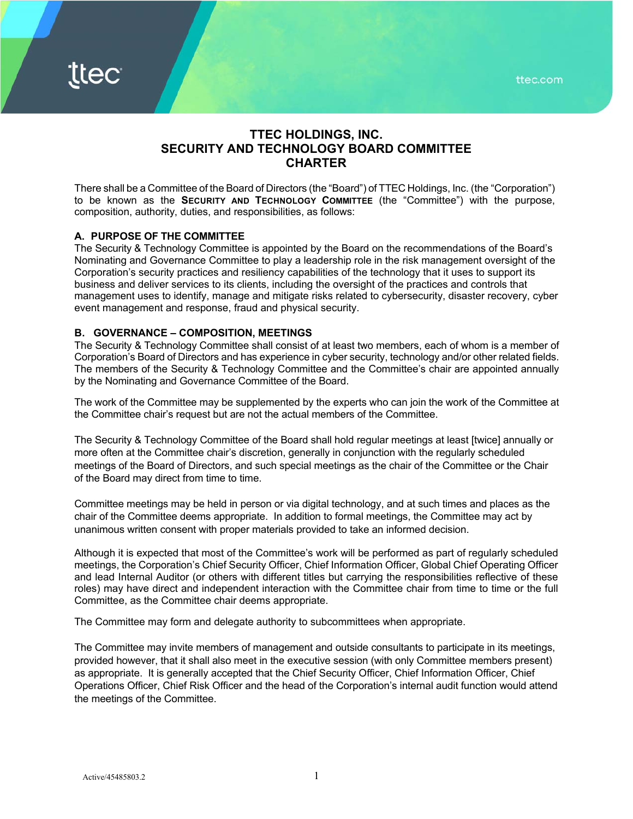ttec.com

# **TTEC HOLDINGS, INC. SECURITY AND TECHNOLOGY BOARD COMMITTEE CHARTER**

There shall be a Committee of the Board of Directors (the "Board") of TTEC Holdings, Inc. (the "Corporation") to be known as the **SECURITY AND TECHNOLOGY COMMITTEE** (the "Committee") with the purpose, composition, authority, duties, and responsibilities, as follows:

## **A. PURPOSE OF THE COMMITTEE**

The Security & Technology Committee is appointed by the Board on the recommendations of the Board's Nominating and Governance Committee to play a leadership role in the risk management oversight of the Corporation's security practices and resiliency capabilities of the technology that it uses to support its business and deliver services to its clients, including the oversight of the practices and controls that management uses to identify, manage and mitigate risks related to cybersecurity, disaster recovery, cyber event management and response, fraud and physical security.

## **B. GOVERNANCE – COMPOSITION, MEETINGS**

The Security & Technology Committee shall consist of at least two members, each of whom is a member of Corporation's Board of Directors and has experience in cyber security, technology and/or other related fields. The members of the Security & Technology Committee and the Committee's chair are appointed annually by the Nominating and Governance Committee of the Board.

The work of the Committee may be supplemented by the experts who can join the work of the Committee at the Committee chair's request but are not the actual members of the Committee.

The Security & Technology Committee of the Board shall hold regular meetings at least [twice] annually or more often at the Committee chair's discretion, generally in conjunction with the regularly scheduled meetings of the Board of Directors, and such special meetings as the chair of the Committee or the Chair of the Board may direct from time to time.

Committee meetings may be held in person or via digital technology, and at such times and places as the chair of the Committee deems appropriate. In addition to formal meetings, the Committee may act by unanimous written consent with proper materials provided to take an informed decision.

Although it is expected that most of the Committee's work will be performed as part of regularly scheduled meetings, the Corporation's Chief Security Officer, Chief Information Officer, Global Chief Operating Officer and lead Internal Auditor (or others with different titles but carrying the responsibilities reflective of these roles) may have direct and independent interaction with the Committee chair from time to time or the full Committee, as the Committee chair deems appropriate.

The Committee may form and delegate authority to subcommittees when appropriate.

The Committee may invite members of management and outside consultants to participate in its meetings, provided however, that it shall also meet in the executive session (with only Committee members present) as appropriate. It is generally accepted that the Chief Security Officer, Chief Information Officer, Chief Operations Officer, Chief Risk Officer and the head of the Corporation's internal audit function would attend the meetings of the Committee.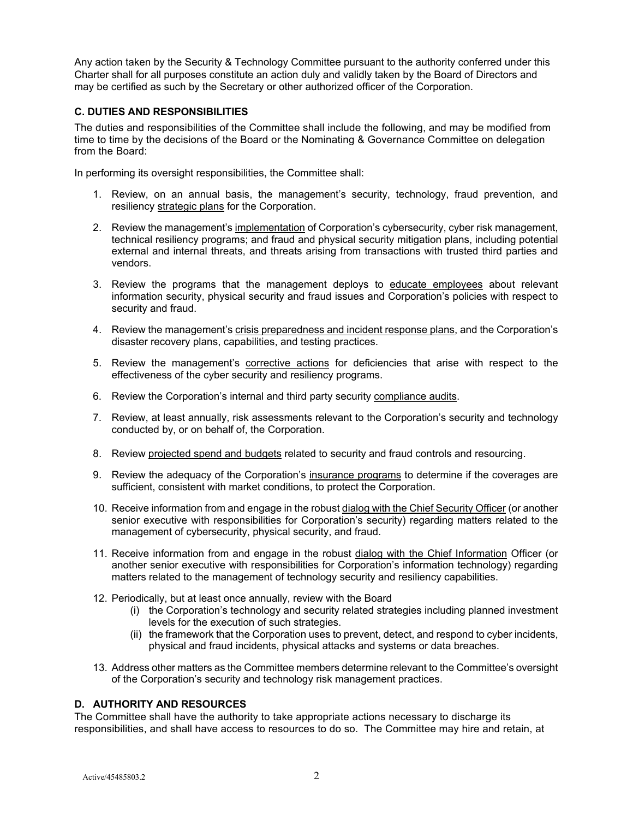Any action taken by the Security & Technology Committee pursuant to the authority conferred under this Charter shall for all purposes constitute an action duly and validly taken by the Board of Directors and may be certified as such by the Secretary or other authorized officer of the Corporation.

## **C. DUTIES AND RESPONSIBILITIES**

The duties and responsibilities of the Committee shall include the following, and may be modified from time to time by the decisions of the Board or the Nominating & Governance Committee on delegation from the Board:

In performing its oversight responsibilities, the Committee shall:

- 1. Review, on an annual basis, the management's security, technology, fraud prevention, and resiliency strategic plans for the Corporation.
- 2. Review the management's implementation of Corporation's cybersecurity, cyber risk management, technical resiliency programs; and fraud and physical security mitigation plans, including potential external and internal threats, and threats arising from transactions with trusted third parties and vendors.
- 3. Review the programs that the management deploys to educate employees about relevant information security, physical security and fraud issues and Corporation's policies with respect to security and fraud.
- 4. Review the management's crisis preparedness and incident response plans, and the Corporation's disaster recovery plans, capabilities, and testing practices.
- 5. Review the management's corrective actions for deficiencies that arise with respect to the effectiveness of the cyber security and resiliency programs.
- 6. Review the Corporation's internal and third party security compliance audits.
- 7. Review, at least annually, risk assessments relevant to the Corporation's security and technology conducted by, or on behalf of, the Corporation.
- 8. Review projected spend and budgets related to security and fraud controls and resourcing.
- 9. Review the adequacy of the Corporation's insurance programs to determine if the coverages are sufficient, consistent with market conditions, to protect the Corporation.
- 10. Receive information from and engage in the robust dialog with the Chief Security Officer (or another senior executive with responsibilities for Corporation's security) regarding matters related to the management of cybersecurity, physical security, and fraud.
- 11. Receive information from and engage in the robust dialog with the Chief Information Officer (or another senior executive with responsibilities for Corporation's information technology) regarding matters related to the management of technology security and resiliency capabilities.
- 12. Periodically, but at least once annually, review with the Board
	- (i) the Corporation's technology and security related strategies including planned investment levels for the execution of such strategies.
	- (ii) the framework that the Corporation uses to prevent, detect, and respond to cyber incidents, physical and fraud incidents, physical attacks and systems or data breaches.
- 13. Address other matters as the Committee members determine relevant to the Committee's oversight of the Corporation's security and technology risk management practices.

## **D. AUTHORITY AND RESOURCES**

The Committee shall have the authority to take appropriate actions necessary to discharge its responsibilities, and shall have access to resources to do so. The Committee may hire and retain, at